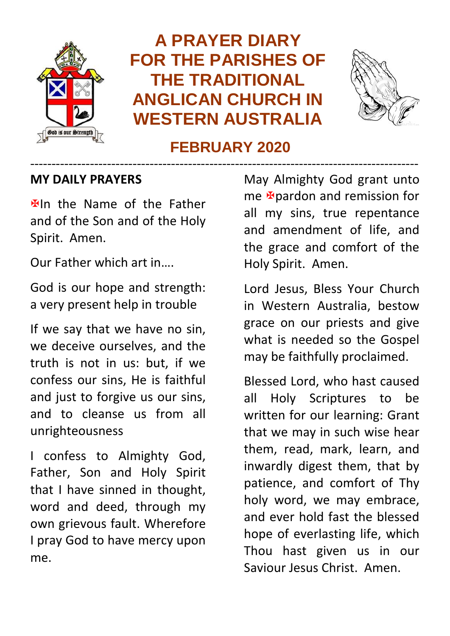

## **A PRAYER DIARY FOR THE PARISHES OF THE TRADITIONAL ANGLICAN CHURCH IN WESTERN AUSTRALIA**



#### **FEBRUARY 2020**

-------------------------------------------------------------------------------------------

#### **MY DAILY PRAYERS**

**Elln** the Name of the Father and of the Son and of the Holy Spirit. Amen.

Our Father which art in….

God is our hope and strength: a very present help in trouble

If we say that we have no sin, we deceive ourselves, and the truth is not in us: but, if we confess our sins, He is faithful and just to forgive us our sins, and to cleanse us from all unrighteousness

I confess to Almighty God, Father, Son and Holy Spirit that I have sinned in thought, word and deed, through my own grievous fault. Wherefore I pray God to have mercy upon me.

May Almighty God grant unto me **F**oardon and remission for all my sins, true repentance and amendment of life, and the grace and comfort of the Holy Spirit. Amen.

Lord Jesus, Bless Your Church in Western Australia, bestow grace on our priests and give what is needed so the Gospel may be faithfully proclaimed.

Blessed Lord, who hast caused all Holy Scriptures to be written for our learning: Grant that we may in such wise hear them, read, mark, learn, and inwardly digest them, that by patience, and comfort of Thy holy word, we may embrace, and ever hold fast the blessed hope of everlasting life, which Thou hast given us in our Saviour Jesus Christ. Amen.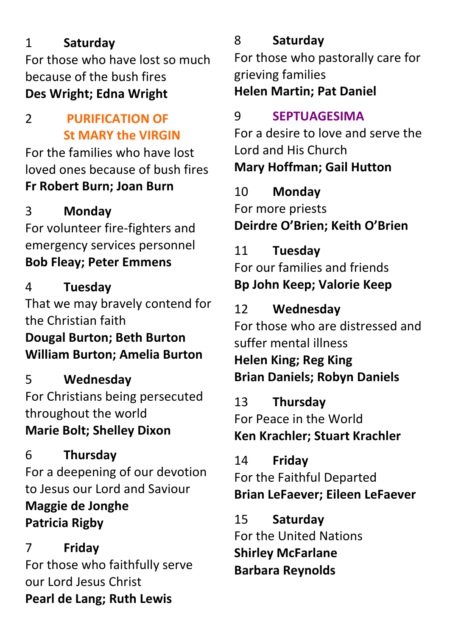#### 1 **Saturday**

For those who have lost so much because of the bush fires **Des Wright; Edna Wright**

#### 2 **PURIFICATION OF St MARY the VIRGIN**

For the families who have lost loved ones because of bush fires **Fr Robert Burn; Joan Burn**

### 3 **Monday**

For volunteer fire-fighters and emergency services personnel **Bob Fleay; Peter Emmens**

#### 4 **Tuesday**

That we may bravely contend for the Christian faith **Dougal Burton; Beth Burton**

#### **William Burton; Amelia Burton**

5 **Wednesday**

For Christians being persecuted throughout the world **Marie Bolt; Shelley Dixon**

6 **Thursday** For a deepening of our devotion to Jesus our Lord and Saviour **Maggie de Jonghe Patricia Rigby**

7 **Friday** For those who faithfully serve our Lord Jesus Christ **Pearl de Lang; Ruth Lewis**

#### 8 **Saturday**

For those who pastorally care for grieving families **Helen Martin; Pat Daniel**

#### 9 **SEPTUAGESIMA**

For a desire to love and serve the Lord and His Church **Mary Hoffman; Gail Hutton**

#### 10 **Monday**

For more priests **Deirdre O'Brien; Keith O'Brien**

#### 11 **Tuesday**

For our families and friends **Bp John Keep; Valorie Keep**

#### 12 **Wednesday**

For those who are distressed and suffer mental illness

**Helen King; Reg King Brian Daniels; Robyn Daniels**

13 **Thursday** For Peace in the World **Ken Krachler; Stuart Krachler**

14 **Friday** For the Faithful Departed **Brian LeFaever; Eileen LeFaever**

15 **Saturday** For the United Nations **Shirley McFarlane Barbara Reynolds**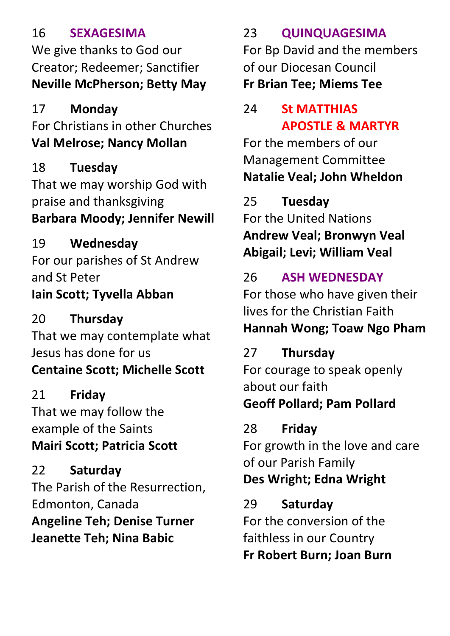#### 16 **SEXAGESIMA**

We give thanks to God our Creator; Redeemer; Sanctifier **Neville McPherson; Betty May**

#### 17 **Monday**

For Christians in other Churches **Val Melrose; Nancy Mollan**

18 **Tuesday** That we may worship God with praise and thanksgiving **Barbara Moody; Jennifer Newill**

19 **Wednesday** For our parishes of St Andrew and St Peter **Iain Scott; Tyvella Abban**

20 **Thursday** That we may contemplate what Jesus has done for us

## **Centaine Scott; Michelle Scott**

21 **Friday** That we may follow the example of the Saints **Mairi Scott; Patricia Scott**

22 **Saturday** The Parish of the Resurrection, Edmonton, Canada **Angeline Teh; Denise Turner Jeanette Teh; Nina Babic**

### 23 **QUINQUAGESIMA**

For Bp David and the members of our Diocesan Council **Fr Brian Tee; Miems Tee**

#### 24 **St MATTHIAS APOSTLE & MARTYR**

For the members of our Management Committee **Natalie Veal; John Wheldon**

25 **Tuesday** For the United Nations **Andrew Veal; Bronwyn Veal Abigail; Levi; William Veal**

### 26 **ASH WEDNESDAY**

For those who have given their lives for the Christian Faith **Hannah Wong; Toaw Ngo Pham**

## 27 **Thursday**

For courage to speak openly about our faith **Geoff Pollard; Pam Pollard**

## 28 **Friday**

For growth in the love and care of our Parish Family **Des Wright; Edna Wright**

## 29 **Saturday**

For the conversion of the faithless in our Country **Fr Robert Burn; Joan Burn**